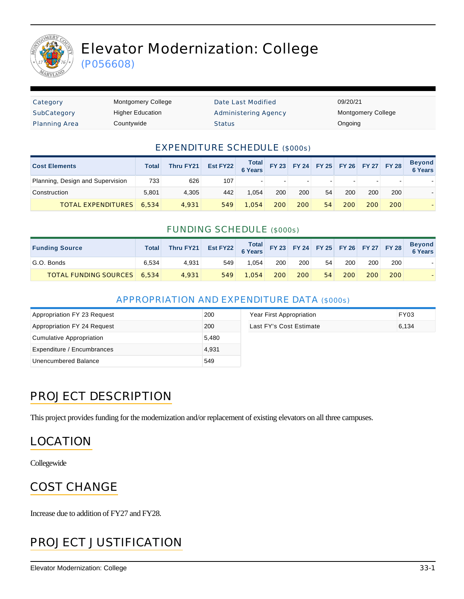

# Elevator Modernization: College

(P056608)

| Category             | <b>Montgomery College</b> | Date Last Modified          | 09/20/21                  |
|----------------------|---------------------------|-----------------------------|---------------------------|
| SubCategory          | <b>Higher Education</b>   | <b>Administering Agency</b> | <b>Montgomery College</b> |
| <b>Planning Area</b> | Countywide                | <b>Status</b>               | Ongoing                   |

#### EXPENDITURE SCHEDULE (\$000s)

| <b>Cost Elements</b>             | Total | Thru FY21 | Est FY22 | Total<br>6 Years |     |     | FY 23 FY 24 FY 25 FY 26 FY 27 FY 28 |     |     |     | <b>Beyond</b><br><b>6 Years</b> |
|----------------------------------|-------|-----------|----------|------------------|-----|-----|-------------------------------------|-----|-----|-----|---------------------------------|
| Planning, Design and Supervision | 733   | 626       | 107      |                  |     |     |                                     |     |     |     |                                 |
| Construction                     | 5.801 | 4.305     | 442      | 1.054            | 200 | 200 | 54                                  | 200 | 200 | 200 |                                 |
| <b>TOTAL EXPENDITURES</b>        | 6,534 | 4.931     | 549      | 1.054            | 200 | 200 | 54                                  | 200 | 200 | 200 |                                 |

#### FUNDING SCHEDULE (\$000s)

| <b>Funding Source</b>       | Total | Thru FY21 | Est FY22 Total FY 23 FY 24 FY 25 FY 26 FY 27 FY 28 |       |     |     |    |     |                  |     | <b>Beyond</b><br>6 Years |
|-----------------------------|-------|-----------|----------------------------------------------------|-------|-----|-----|----|-----|------------------|-----|--------------------------|
| G.O. Bonds                  | 6.534 | 4.931     | 549                                                | .054  | 200 | 200 | 54 | 200 | 200 <sub>1</sub> | 200 |                          |
| TOTAL FUNDING SOURCES 6,534 |       | 4.931     | 549                                                | 1.054 | 200 | 200 | 54 | 200 | 200              | 200 |                          |

#### APPROPRIATION AND EXPENDITURE DATA (\$000s)

| Appropriation FY 23 Request | 200   | Year First Appropriation | FY03  |
|-----------------------------|-------|--------------------------|-------|
| Appropriation FY 24 Request | 200   | Last FY's Cost Estimate  | 6,134 |
| Cumulative Appropriation    | 5,480 |                          |       |
| Expenditure / Encumbrances  | 4.931 |                          |       |
| Unencumbered Balance        | 549   |                          |       |

### PROJECT DESCRIPTION

This project provides funding for the modernization and/or replacement of existing elevators on all three campuses.

#### LOCATION

Collegewide

### COST CHANGE

Increase due to addition of FY27 and FY28.

### PROJECT JUSTIFICATION